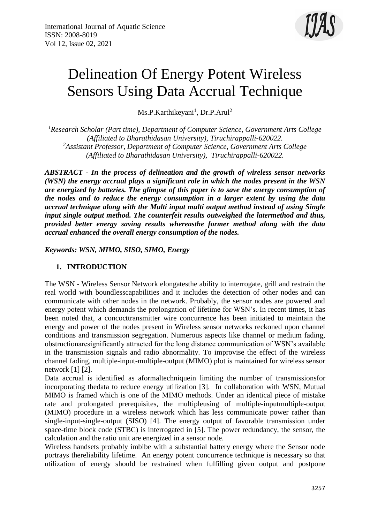

# Delineation Of Energy Potent Wireless Sensors Using Data Accrual Technique

Ms.P.Karthikeyani<sup>1</sup>, Dr.P.Arul<sup>2</sup>

*<sup>1</sup>Research Scholar (Part time), Department of Computer Science, Government Arts College (Affiliated to Bharathidasan University), Tiruchirappalli-620022. <sup>2</sup>Assistant Professor, Department of Computer Science, Government Arts College (Affiliated to Bharathidasan University), Tiruchirappalli-620022.*

*ABSTRACT - In the process of delineation and the growth of wireless sensor networks (WSN) the energy accrual plays a significant role in which the nodes present in the WSN are energized by batteries. The glimpse of this paper is to save the energy consumption of the nodes and to reduce the energy consumption in a larger extent by using the data accrual technique along with the Multi input multi output method instead of using Single input single output method. The counterfeit results outweighed the latermethod and thus, provided better energy saving results whereasthe former method along with the data accrual enhanced the overall energy consumption of the nodes.*

*Keywords: WSN, MIMO, SISO, SIMO, Energy*

# **1. INTRODUCTION**

The WSN - Wireless Sensor Network elongatesthe ability to interrogate, grill and restrain the real world with boundlesscapabilities and it includes the detection of other nodes and can communicate with other nodes in the network. Probably, the sensor nodes are powered and energy potent which demands the prolongation of lifetime for WSN's. In recent times, it has been noted that, a concocttransmitter wire concurrence has been initiated to maintain the energy and power of the nodes present in Wireless sensor networks reckoned upon channel conditions and transmission segregation. Numerous aspects like channel or medium fading, obstructionaresignificantly attracted for the long distance communication of WSN's available in the transmission signals and radio abnormality. To improvise the effect of the wireless channel fading, multiple-input-multiple-output (MIMO) plot is maintained for wireless sensor network [1] [2].

Data accrual is identified as aformaltechniquein limiting the number of transmissionsfor incorporating thedata to reduce energy utilization [3]. In collaboration with WSN, Mutual MIMO is framed which is one of the MIMO methods. Under an identical piece of mistake rate and prolongated prerequisites, the multipleusing of multiple-inputmultiple-output (MIMO) procedure in a wireless network which has less communicate power rather than single-input-single-output (SISO) [4]. The energy output of favorable transmission under space-time block code (STBC) is interrogated in [5]. The power redundancy, the sensor, the calculation and the ratio unit are energized in a sensor node.

Wireless handsets probably imbibe with a substantial battery energy where the Sensor node portrays thereliability lifetime. An energy potent concurrence technique is necessary so that utilization of energy should be restrained when fulfilling given output and postpone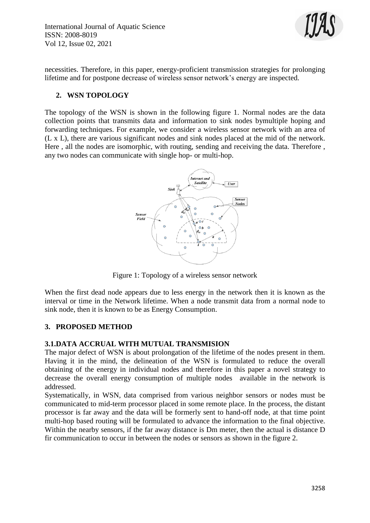International Journal of Aquatic Science ISSN: 2008-8019 Vol 12, Issue 02, 2021



necessities. Therefore, in this paper, energy-proficient transmission strategies for prolonging lifetime and for postpone decrease of wireless sensor network's energy are inspected.

## **2. WSN TOPOLOGY**

The topology of the WSN is shown in the following figure 1. Normal nodes are the data collection points that transmits data and information to sink nodes bymultiple hoping and forwarding techniques. For example, we consider a wireless sensor network with an area of (L x L), there are various significant nodes and sink nodes placed at the mid of the network. Here , all the nodes are isomorphic, with routing, sending and receiving the data. Therefore , any two nodes can communicate with single hop- or multi-hop.



Figure 1: Topology of a wireless sensor network

When the first dead node appears due to less energy in the network then it is known as the interval or time in the Network lifetime. When a node transmit data from a normal node to sink node, then it is known to be as Energy Consumption.

## **3. PROPOSED METHOD**

#### **3.1.DATA ACCRUAL WITH MUTUAL TRANSMISION**

The major defect of WSN is about prolongation of the lifetime of the nodes present in them. Having it in the mind, the delineation of the WSN is formulated to reduce the overall obtaining of the energy in individual nodes and therefore in this paper a novel strategy to decrease the overall energy consumption of multiple nodes available in the network is addressed.

Systematically, in WSN, data comprised from various neighbor sensors or nodes must be communicated to mid-term processor placed in some remote place. In the process, the distant processor is far away and the data will be formerly sent to hand-off node, at that time point multi-hop based routing will be formulated to advance the information to the final objective. Within the nearby sensors, if the far away distance is Dm meter, then the actual is distance D fir communication to occur in between the nodes or sensors as shown in the figure 2.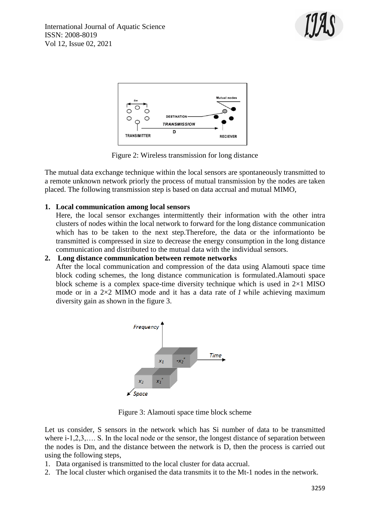



Figure 2: Wireless transmission for long distance

The mutual data exchange technique within the local sensors are spontaneously transmitted to a remote unknown network priorly the process of mutual transmission by the nodes are taken placed. The following transmission step is based on data accrual and mutual MIMO,

# **1. Local communication among local sensors**

Here, the local sensor exchanges intermittently their information with the other intra clusters of nodes within the local network to forward for the long distance communication which has to be taken to the next step.Therefore, the data or the informationto be transmitted is compressed in size to decrease the energy consumption in the long distance communication and distributed to the mutual data with the individual sensors.

### **2. Long distance communication between remote networks**

After the local communication and compression of the data using Alamouti space time block coding schemes, the long distance communication is formulated.Alamouti space block scheme is a complex space-time diversity technique which is used in  $2\times1$  MISO mode or in a 2×2 MIMO mode and it has a data rate of *1* while achieving maximum diversity gain as shown in the figure 3.



Figure 3: Alamouti space time block scheme

Let us consider, S sensors in the network which has Si number of data to be transmitted where i-1,2,3,.... S. In the local node or the sensor, the longest distance of separation between the nodes is Dm, and the distance between the network is D, then the process is carried out using the following steps,

- 1. Data organised is transmitted to the local cluster for data accrual.
- 2. The local cluster which organised the data transmits it to the Mt-1 nodes in the network.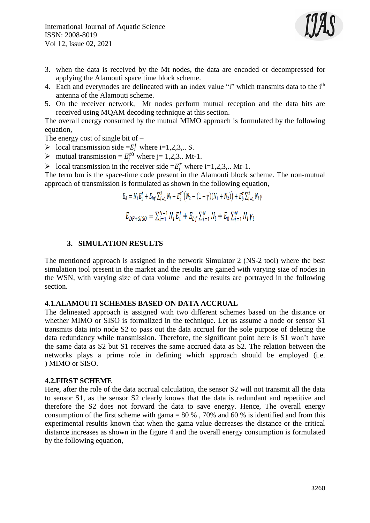

- 3. when the data is received by the Mt nodes, the data are encoded or decompressed for applying the Alamouti space time block scheme.
- 4. Each and everynodes are delineated with an index value "i" which transmits data to the i<sup>th</sup> antenna of the Alamouti scheme.
- 5. On the receiver network, Mr nodes perform mutual reception and the data bits are received using MQAM decoding technique at this section.

The overall energy consumed by the mutual MIMO approach is formulated by the following equation,

The energy cost of single bit of  $-$ 

- $\triangleright$  local transmission side =  $E_i^t$  where i=1,2,3,.. S.
- A mutual transmission =  $E_j^{t0}$  where j= 1,2,3.. Mt-1.
- $\triangleright$  local transmission in the receiver side =  $E_i^r$  where i=1,2,3,.. Mr-1.

The term bm is the space-time code present in the Alamouti block scheme. The non-mutual approach of transmission is formulated as shown in the following equation,

$$
E_A = N_1 E_1^t + E_{bf} \sum_{i=1}^2 N_i + E_2^{t0} (N_2 - (1 - \gamma)(N_1 + N_2)) + E_b^r \sum_{i=1}^2 N_i \gamma
$$
  

$$
E_{DF+SISO} = \sum_{i=1}^{N-1} N_i E_i^t + E_{bf} \sum_{i=1}^{N} N_i + E_0 \sum_{i=1}^{N} N_i \gamma_i
$$

#### **3. SIMULATION RESULTS**

The mentioned approach is assigned in the network Simulator 2 (NS-2 tool) where the best simulation tool present in the market and the results are gained with varying size of nodes in the WSN, with varying size of data volume and the results are portrayed in the following section.

#### **4.1.ALAMOUTI SCHEMES BASED ON DATA ACCRUAL**

The delineated approach is assigned with two different schemes based on the distance or whether MIMO or SISO is formalized in the technique. Let us assume a node or sensor S1 transmits data into node S2 to pass out the data accrual for the sole purpose of deleting the data redundancy while transmission. Therefore, the significant point here is S1 won't have the same data as S2 but S1 receives the same accrued data as S2. The relation between the networks plays a prime role in defining which approach should be employed (i.e. ) MIMO or SISO.

#### **4.2.FIRST SCHEME**

Here, after the role of the data accrual calculation, the sensor S2 will not transmit all the data to sensor S1, as the sensor S2 clearly knows that the data is redundant and repetitive and therefore the S2 does not forward the data to save energy. Hence, The overall energy consumption of the first scheme with gama =  $80\%$ , 70% and 60 % is identified and from this experimental resultis known that when the gama value decreases the distance or the critical distance increases as shown in the figure 4 and the overall energy consumption is formulated by the following equation,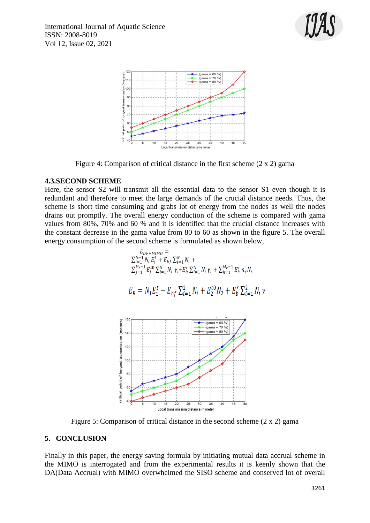



Figure 4: Comparison of critical distance in the first scheme (2 x 2) gama

## **4.3.SECOND SCHEME**

Here, the sensor S2 will transmit all the essential data to the sensor S1 even though it is redundant and therefore to meet the large demands of the crucial distance needs. Thus, the scheme is short time consuming and grabs lot of energy from the nodes as well the nodes drains out promptly. The overall energy conduction of the scheme is compared with gama values from 80%, 70% and 60 % and it is identified that the crucial distance increases with the constant decrease in the gama value from 80 to 60 as shown in the figure 5. The overall energy consumption of the second scheme is formulated as shown below,

$$
E_{DF+MIMO} = \sum_{i=1}^{N-1} N_i E_i^t + E_{bf} \sum_{i=1}^{N} N_i + \sum_{j=1}^{N-1} E_j^{t0} \sum_{i=1}^{N} N_i \gamma_i + E_b^r \sum_{i=1}^{N} N_i \gamma_i + \sum_{h=1}^{M_r-1} E_h^r n_r N_s
$$
  
\n
$$
E_B = N_1 E_1^t + E_{bf} \sum_{i=1}^{2} N_i + E_2^t N_2 + E_b^r \sum_{i=1}^{2} N_i
$$
  
\n<sup>180</sup>  
\n<sup>180</sup>  
\n<sup>190</sup>  
\n<sup>190</sup>  
\n<sup>190</sup>  
\n<sup>191</sup>  
\n<sup>190</sup>  
\n<sup>190</sup>  
\n<sup>191</sup>  
\n<sup>190</sup>  
\n<sup>190</sup>  
\n<sup>191</sup>  
\n<sup>190</sup>  
\n<sup>190</sup>  
\n<sup>191</sup>  
\n<sup>190</sup>  
\n<sup>190</sup>  
\n<sup>191</sup>  
\n<sup>190</sup>  
\n<sup>190</sup>  
\n<sup>191</sup>  
\n<sup>190</sup>  
\n<sup>191</sup>  
\n<sup>190</sup>  
\n<sup>191</sup>  
\n<sup>192</sup>  
\n<sup>193</sup>  
\n<sup>195</sup>  
\n<sup>198</sup>  
\n<sup>1993</sup>  
\n<sup>1994</sup>  
\n<sup>1995</sup>  
\n<sup>1996</sup>  
\n<sup>1997</sup>  
\n<sup>1998</sup>  
\n<sup>1997</sup>  
\n<sup>1998</sup>  
\n<sup>19996</sup>  
\n<sup>19987</sup>  
\n<sup>1999887</sup>  
\n<sup>19999996</sup>  
\n<sup>199999996</sup>  
\n<sup>199999996</sup>  
\n<sup>1999999999999999</sup>

Figure 5: Comparison of critical distance in the second scheme (2 x 2) gama

# **5. CONCLUSION**

ritical point of I

Finally in this paper, the energy saving formula by initiating mutual data accrual scheme in the MIMO is interrogated and from the experimental results it is keenly shown that the DA(Data Accrual) with MIMO overwhelmed the SISO scheme and conserved lot of overall